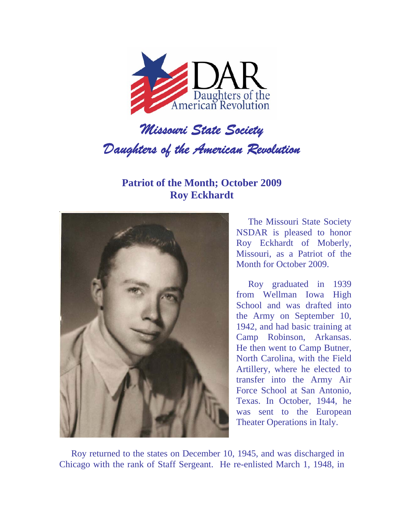

## *Daughters of the American Revolution*

**Patriot of the Month; October 2009 Roy Eckhardt** 



The Missouri State Society NSDAR is pleased to honor Roy Eckhardt of Moberly, Missouri, as a Patriot of the Month for October 2009.

Roy graduated in 1939 from Wellman Iowa High School and was drafted into the Army on September 10, 1942, and had basic training at Camp Robinson, Arkansas. He then went to Camp Butner, North Carolina, with the Field Artillery, where he elected to transfer into the Army Air Force School at San Antonio, Texas. In October, 1944, he was sent to the European Theater Operations in Italy.

Roy returned to the states on December 10, 1945, and was discharged in Chicago with the rank of Staff Sergeant. He re-enlisted March 1, 1948, in